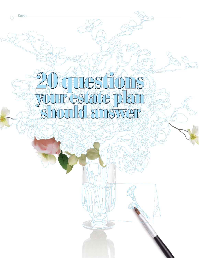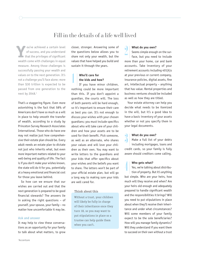# Fill in the details of a life well lived

ou've achieved a certain level of success, and you understand that the privileges of significant wealth come with challenges in equal measure. Among those challenges is successfully passing your wealth and values on to the next generation. It's not a challenge you'll face alone; more than \$30 trillion is expected to be passed from one generation to the next by 2048.1

That's a staggering figure. Even more astonishing is the fact that 58% of Americans don't have so much as a will in place to help smooth the transfer of wealth, according to a study by Princeton Survey Research Associates International. Those who do have one may not realize just how comprehensive their estate plan should be. Every adult needs an estate plan to dictate not just who inherits what, but even more important matters related to your well-being and quality of life. The fact is if you don't make your wishes known, the state will do it for you, potentially at a heavy emotional and financial cost for those you leave behind.

So how can we ensure that our wishes are carried out and that the next generation is prepared to be good financial stewards? The answers lie in asking the right questions – of yourself, your spouse, your family – no matter how uncomfortable it may be.

#### **Ask and answer**

It may help to view these conversations as an opportunity for your family to talk about what matters, to grow

closer, stronger. Answering some of the questions below allows you to share not only your wealth, but the values that have helped you build and sustain it through the years.

## **Who'll care for the kids and how?**

If you have minor children, nothing could be more important than this. If you don't appoint a guardian, the courts will. The loss of both parents will be hard enough, so it's important to ensure their care as best you can. It's not enough to discuss your wishes with your chosen guardians; you must include specifics about who will take care of your children and how your assets are to be used for their benefit. Pick someone, as well as an alternate, who shares your values and will love your children as their own. You may want to write letters to the guardians and your kids that offer specifics about your wishes and the beliefs you want to share. The letters won't be part of your official estate plan, but will go a long way to making sure your kids are well cared for. 1

### **Think about this**

Without a trust, your children will likely be fully in charge of their inheritance once they turn 18, so you may want to put stipulations in place so a trustee can help guide them when you can't.

#### **What do you own?**

Seems simple enough on the surface, but you need to include more than your home, car and bank accounts. Take inventory of your retirement accounts including 401(k)s at your previous or current company, insurance policies, digital assets, fine art, intellectual property – anything that has value. Rental properties and business ventures should be included as well as how they are titled. 2

Your estate attorney can help you decide what needs to be itemized in the will, but it's a good idea to have a basic inventory of your assets whether or not you specify them in your legal documents.

#### **What do you owe?**

Make a full list of your debts including mortgages, loans and credit cards, so your family is fully aware should creditors come calling. <u>{</u>

#### **Who gets what?**

Yes, we're talking about distribution of property. But it's anything but simple. Who are your heirs, how much will they receive and when? Are your heirs old enough and adequately prepared to handle significant wealth and the responsibilities it brings? Will you need to put stipulations in place about when they'll receive their inheritance and under what circumstances? Will some members of your family expect to be the sole beneficiaries? How will you manage family dynamics? Will they understand if you want them to succeed on their own without a trust 4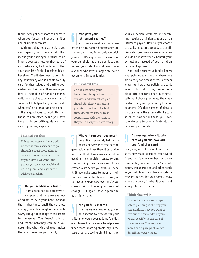fund? It can get even more complicated when you factor in blended families and business interests.

Without a detailed estate plan, you can't specify who gets what. That means your estranged brother could inherit your business or that part of your estate may be liquidated so that your spendthrift child receives his or her share. You'll also need to consider any beneficiary who is unable to fully care for themselves and outline your wishes for their care. If someone you love is incapable of handling money well, then it's time to consider a trust of some sort to help act in your interests when you're no longer able to do so.

It's a good idea to work through these complexities, while you have time to do so, with guidance from estate planning experts.

#### **Think about this**

Things get messy without a will. At best, it forces someone to go through a court proceeding to become a voluntary administrator of your estate. At worst, the people you love most could end up in a years-long legal battle with one another.

#### **Do you need/have a trust?**

Trusts need not be expensive or complex, and there are a variety of trusts to help your heirs manage their inheritance until they are old enough, capable enough or financially savvy enough to manage those assets for themselves. Your financial advisor and estate attorney can help you determine what kind of trust makes the most sense for your family.

## **Who gets your retirement savings?**

Most retirement accounts are passed on to named beneficiaries on the account, not in accordance with your will. It's important to make sure your beneficiaries are up to date and review your selections at least once a year or whenever a major life event occurs within your family. 6

#### **Think about this**

On a related note, your beneficiary designations, titling of assets and your estate plan should all reflect your estate planning intentions. Each of these documents needs to be coordinated with the next, so they tell a comprehensive "story."

**Who will run your business?** Only 30% of privately held businesses survive into the second generation, and less than 15% survive into the third. This makes it vital to establish a transition strategy and start working toward a successful succession years before you think you need it. It may make sense to groom an heir from your extended family, to sell, or to have an expert take over until your chosen heir is old enough or prepared enough. But again, have a plan and put it in writing. **18 Do you need/have a trust?** chosen heir is old enough or prepared your preferences for<br>
Trusts need not be expensive or enough. But again, have a plan and<br>
complex, and there are a variety put it in writing. Think about 7

#### **Are you fully insured?**

Life insurance, especially, can be a means to provide for your children or your spouse. Some families elect to use life insurance to help make inheritances more equitable, say in the case of an art-loving child inheriting 8

your collection, while his or her sibling receives a similar amount as an insurance payout. However you choose to use it, make sure to update beneficiary designations as necessary, so you don't inadvertently benefit your ex-husband instead of your children or current spouse.

And, make sure your family knows what policies you have and where they are so they can access them. Let them know, too, how those policies are paid. Seems odd, but if they prematurely close the account that automatically paid those premiums, they may inadvertently void your policy for nonpayment. It's these types of details that can make the aftermath of a loss so much harder for those you love, so make sure to communicate all the necessary information.

#### **As you age, who will take care of you and how will you fund that care?** 9

Caregiving is a lot to ask of one person, so it may make sense to tap several friends or family members who can coordinate your care, doctors' appointments, transportation and other needs as you get older. If you have long-term care insurance, let your family know where the policy is, what it covers and your preferences for care.

Longevity is a game-changer. Estate planning is the way you communicate how you want to live out the remainder of your years, possibly in the care of someone else. You may want more than a paragraph or two describing your wishes.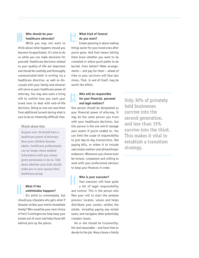## **Who should be your healthcare advocate? 10** Who should be your<br> **10** healthcare advocate?<br>
While you may not want to

think about what happens should you become incapacitated, it's wise to do so while you can make decisions for yourself. Healthcare decisions related to your quality of life are important and should be carefully and thoroughly communicated both in writing via a healthcare directive, as well as discussed with your family and whoever will serve as your healthcare power of attorney. You may also want a living will to outline how you want your loved ones to deal with end-of-life decisions. Doing so now can save them from additional turmoil during what is sure to be an inherently difficult time.

#### **Think about this**

Anyone over 18 should have a healthcare power of attorney. Once your children become adults, healthcare professionals can no longer share medical information with you unless given permission to do so. Talk about whether your kids should make you or your spouse their healthcare proxy.

## **What if the unthinkable happens?**

It's awful to contemplate, but should you stipulate who gets what if disaster strikes your entire immediate family? Who would be your next choice of heir? Contingencies help keep your estate out of court and help those left behind pick up the pieces. 11

## **What kind of funeral do you want?**

Estate planning is about making things easier for your loved ones after you're gone. And that means letting them know whether you want to be cremated or where you'd prefer to be buried. Even better? Make arrangements – and pay for them – ahead of time so your survivors will face less stress. That, in and of itself, may be worth the effort.

#### **Who will be responsible for your financial, personal and legal matters?** 13

One person should be designated as your financial power of attorney. It may be the same person you trust with your healthcare decisions, but this person is the one who'll manage your assets if you're unable to. You can limit the scope of responsibility to just day-to-day transactions, like paying bills, or widen it to include real estate matters and philanthropic endeavors. Whomever you choose must be honest, competent and willing to work with your professional advisors to keep your finances in order.

## **Who is your executor?**

Your executor will have quite a bit of legal responsibility and control. This is the person who files your will to start the probate process; locates, values and helps distribute your assets; settles the estate, including paying any estate taxes; and navigates other potentially complex issues. 14

He or she should be trustworthy, fair and reasonable – and have time to devote to the job. Many choose a family Only 30% of privately held businesses survive into the second generation, and less than 15% survive into the third. This makes it vital to establish a transition strategy.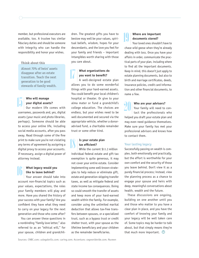member, but professional executors are available, too. A trustee has similar fiduciary duties and should be someone with integrity who can handle the responsibility and honor your wishes.

#### **Think about this**

Almost 70% of heirs' assets disappear after an estate transition. Teach the next generation to be good stewards of family wealth.

## **Who will manage your digital assets?**

Our modern life comes with usernames, passwords and, yes, digital assets (your music and photo libraries, perhaps). Someone should be able to access your online life, including social media accounts, after you pass away. Read through some of the fine print to make sure you're not violating any terms of agreement by assigning a digital proxy to access your accounts. If necessary, assign a digital power of attorney instead. 15

## **What legacy would you like to leave behind?**

Your answer should take into account non-financial topics such as your values, expectations, the roles your family members will play and more. Have you shared the history of your success with your family? Are you confident they have what they need to carry on your legacy for the next generation and those who come after? 16

You can answer these questions in a nonbinding "family love letter," also referred to as an "ethical will," for your spouse, children and grandchildren. The greatest gifts you have to bestow may well be your values, spiritual beliefs, wisdom, hopes for your descendants, and the love you feel for your family and friends – important intangibles worth sharing with those you care about.

## **What organizations do you want to benefit?**  17

A well-designed estate plan allows you to do some wonderful things with your hard-earned assets. You could benefit your local children's hospital or theater. Or give to your alma mater or fund a grandchild's college education. The choices are endless, but your wishes need to be well documented and secured via the appropriate vehicle, whether a donoradvised fund, a charitable remainder trust or some other kind.

## **Is your estate plan tax efficient?** 18

While the current \$11.2 million individual federal estate and gift tax exemption is quite generous, it may not cover your entire estate. Consider implementing some well-known strategies to help reduce or eliminate gift, estate and generation-skipping transfer taxes, as well as mitigate federal and state income tax consequences. Doing so could smooth the transfer of assets and keep more of your hard-earned wealth within the family. For example, consider using the unlimited marital deduction that allows tax-free transfers between spouses, or a specialized trust, such as a bypass trust or credit shelter trust, with your spouse as the lifetime beneficiary and your children as the remainder beneficiaries.

## **Where are important documents stored?**

Your loved ones shouldn't have to chase wild geese when they're already dealing with loss. Once you have your affairs in order, communicate the practical parts of your plan, including where to find all the important documents. Keep in mind, this doesn't just apply to estate planning documents, but also to birth and marriage certificates, deeds, insurance policies, credit card information and other financial documents, to name a few. 19

**Who are your advisors?** Your family will need to contact the professionals who helped you draft your estate plan and may even need guidance themselves. Make sure your family has met your professional advisors and knows how to contact them. 20

#### **Your lasting legacy**

Successfully passing on wealth is complex, both emotionally and practically, but the effort is worthwhile for your own comfort and the security of those you leave behind. Don't view it as a purely financial process; instead, view the planning process as a chance to engage your spouse and heirs with deep, meaningful conversations about health, wealth and the future.

These discussions are ongoing, building on one another until you and those who matter to you have a clear plan in place, and you have the comfort of knowing your family and your legacy will be well taken care of. Some topics may be harder to talk about, but that simply means they're that much more important.  $\mathbf w$